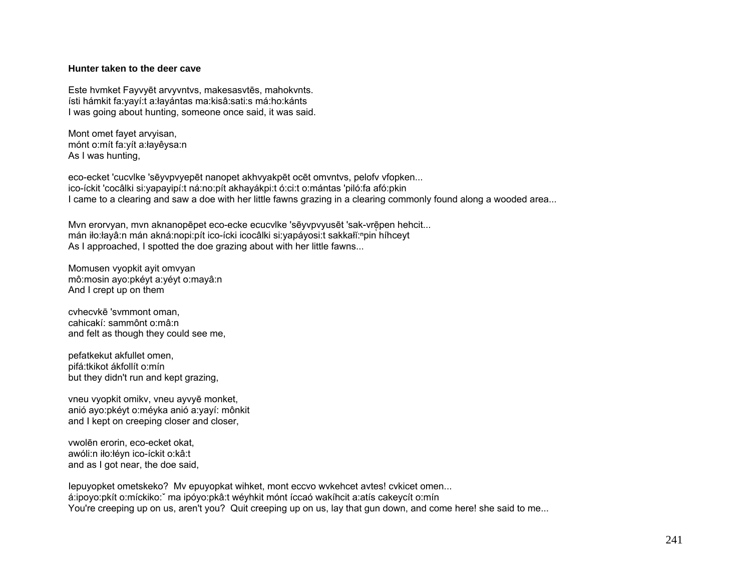## **Hunter taken to the deer cave**

Este hvmket Fayvyēt arvyvntvs, makesasvtēs, mahokvnts. ísti hámkit fa:yayí:t a:łayántas ma:kisâ:sati:s má:ho:kánts I was going about hunting, someone once said, it was said.

Mont omet fayet arvyisan, mónt o:mít fa:yít a:łayêysa:n As I was hunting,

eco-ecket 'cucvlke 'sēyvpvyepēt nanopet akhvyakpēt ocēt omvntvs, pelofv vfopken... ico-íckit 'cocâlki si:yapayipí:t ná:no:pít akhayákpi:t ó:ci:t o:mántas 'piló:fa afó:pkin I came to a clearing and saw a doe with her little fawns grazing in a clearing commonly found along a wooded area...

Myn eroryyan, myn aknanopēpet eco-ecke ecucylke 'sēyvpyyusēt 'sak-vrēpen hehcit... mán iło:łayâ:n mán akná:nopi:pít ico-ícki icocâlki si:yapáyosi:t sakkałĭ:<sup>n</sup>pin híhceyt As I approached, I spotted the doe grazing about with her little fawns...

Momusen vyopkit ayit omvyan mô:mosin ayo:pkéyt a:yéyt o:mayâ:n And I crept up on them

cvhecvkē 'svmmont oman, cahicakí: sammônt o:mâ:n and felt as though they could see me,

pefatkekut akfullet omen, pifá:tkikot ákfollít o:mín but they didn't run and kept grazing,

vneu vyopkit omikv, vneu ayvyē monket, anió ayo:pkéyt o:méyka anió a:yayí: mônkit and I kept on creeping closer and closer,

vwolēn erorin, eco-ecket okat, awóli:n iło:łéyn ico-íckit o:kâ:t and as I got near, the doe said,

Iepuyopket ometskeko? Mv epuyopkat wihket, mont eccvo wvkehcet avtes! cvkicet omen... á:ipoyo:pkít o:míckiko:ˇ ma ipóyo:pkâ:t wéyhkit mónt íccaó wakíhcit a:atís cakeycít o:mín You're creeping up on us, aren't you? Quit creeping up on us, lay that gun down, and come here! she said to me...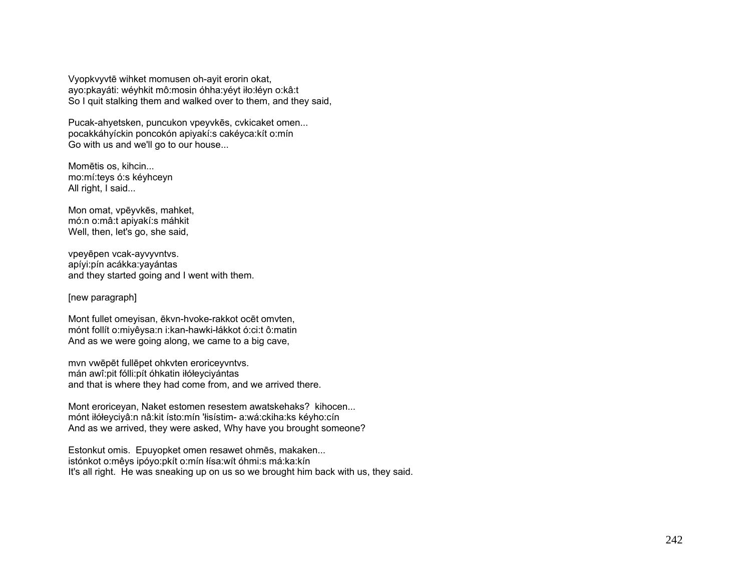Vyopkvyvtē wihket momusen oh-ayit erorin okat, ayo:pkayáti: wéyhkit mô:mosin óhha:yéyt iło:łéyn o:kâ:t So I quit stalking them and walked over to them, and they said,

Pucak-ahyetsken, puncukon vpeyvkēs, cvkicaket omen... pocakkáhyíckin poncokón apiyakí:s cakéyca:kít o:mín Go with us and we'll go to our house...

Momētis os, kihcin... mo:mí:teys ó:s kéyhceyn All right, I said...

Mon omat, vpēyvkēs, mahket, mó:n o:mâ:t apiyakí:s máhkit Well, then, let's go, she said,

vpeyēpen vcak-ayvyvntvs. apíyi:pín acákka:yayántas and they started going and I went with them.

## [new paragraph]

Mont fullet omeyisan, ēkvn-hvoke-rakkot ocēt omvten, mónt follít o:miyêysa:n i:kan-hawki-łákkot ó:ci:t ô:matin And as we were going along, we came to a big cave,

mvn vwēpēt fullēpet ohkvten eroriceyvntvs. mán awî:pit fólli:pít óhkatin iłółeyciyántas and that is where they had come from, and we arrived there.

Mont eroriceyan, Naket estomen resestem awatskehaks? kihocen... mónt iłółeyciyâ:n nâ:kit ísto:mín 'łisístim- a:wá:ckiha:ks kéyho:cín And as we arrived, they were asked, Why have you brought someone?

Estonkut omis. Epuyopket omen resawet ohmēs, makaken... istónkot o:mêys ipóyo:pkít o:mín łísa:wít óhmi:s má:ka:kín It's all right. He was sneaking up on us so we brought him back with us, they said.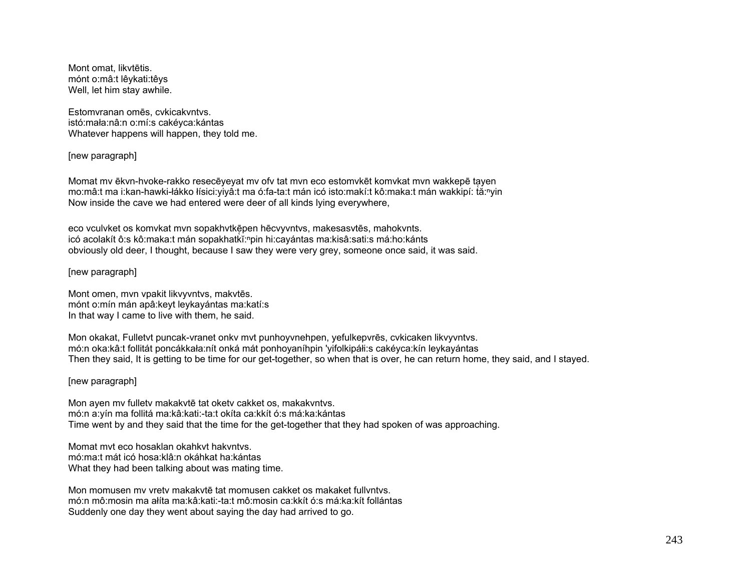Mont omat, likvtētis. mónt o:mâ:t lêykati:têys Well, let him stay awhile.

Estomvranan omēs, cvkicakvntvs. istó:mała:nâ:n o:mí:s cakéyca:kántas Whatever happens will happen, they told me.

[new paragraph]

Momat mv ēkvn-hvoke-rakko resecēyeyat mv of tat mvn eco estomvkēt komvkat mvn wakkepē tayen mo:mâ:t ma i:kan-hawki-łákko łísici:yiyâ:t ma ó:fa-ta:t mán icó isto:makí:t kô:maka:t mán wakkipí: tă:<sup>n</sup>yin Now inside the cave we had entered were deer of all kinds lying everywhere,

eco vculvket os komvkat mvn sopakhvtkē̜pen hēcvyvntvs, makesasvtēs, mahokvnts. icó acolakít ô:s kô:maka:t mán sopakhatkĭ:<sup>ⁿ</sup>pin hi:cayántas ma:kisâ:sati:s má:ho:kánts obviously old deer, I thought, because I saw they were very grey, someone once said, it was said.

[new paragraph]

Mont omen, mvn vpakit likvyvntvs, makvtēs. mónt o:mín mán apâ:keyt leykayántas ma:katí:s In that way I came to live with them, he said.

Mon okakat, Fulletvt puncak-vranet onkv mvt punhoyvnehpen, yefulkepvrēs, cvkicaken likvyvntvs. mó:n oka:kâ:t follitát poncákkała:nít onká mát ponhoyaníhpin 'yifolkipáłi:s cakéyca:kín leykayántas Then they said, It is getting to be time for our get-together, so when that is over, he can return home, they said, and I stayed.

[new paragraph]

Mon ayen mv fulletv makakvtē tat oketv cakket os, makakvntvs. mó:n a:yín ma follitá ma:kâ:kati:-ta:t okíta ca:kkít ó:s má:ka:kántas Time went by and they said that the time for the get-together that they had spoken of was approaching.

Momat mvt eco hosaklan okahkvt hakvntvs. mó:ma:t mát icó hosa:klâ:n okáhkat ha:kántas What they had been talking about was mating time.

Mon momusen mv vretv makakvtē tat momusen cakket os makaket fullvntvs. mó:n mô:mosin ma ałíta ma:kâ:kati:-ta:t mô:mosin ca:kkít ó:s má:ka:kít follántas Suddenly one day they went about saying the day had arrived to go.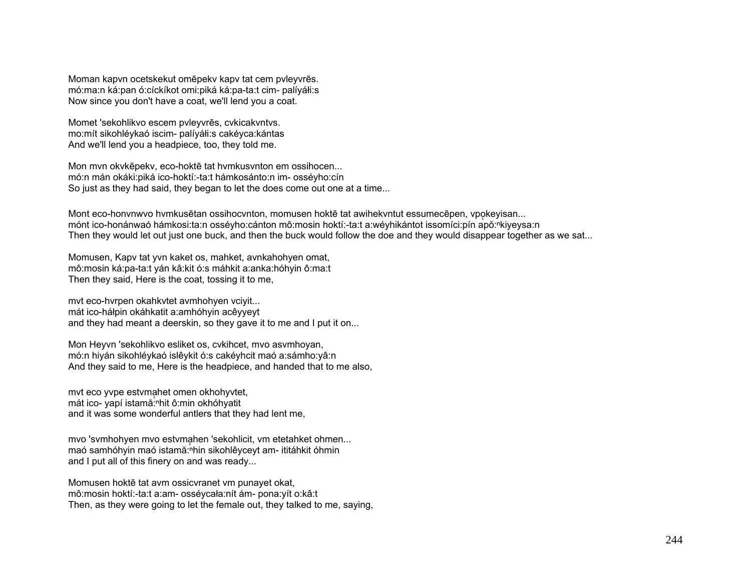Moman kapvn ocetskekut omēpekv kapv tat cem pvleyvrēs. mó:ma:n ká:pan ó:cíckíkot omi:piká ká:pa-ta:t cim- palíyáłi:s Now since you don't have a coat, we'll lend you a coat.

Momet 'sekohlikvo escem pvleyvrēs, cvkicakvntvs. mo:mít sikohléykaó iscim- palíyáłi:s cakéyca:kántas And we'll lend you a headpiece, too, they told me.

Mon mvn okvkēpekv, eco-hoktē tat hvmkusvnton em ossihocen... mó:n mán okáki:piká ico-hoktí:-ta:t hámkosánto:n im- osséyho:cín So just as they had said, they began to let the does come out one at a time...

Mont eco-honvnwvo hvmkusētan ossihocvnton, momusen hoktē tat awihekvntut essumecēpen, vpokeyisan... mónt ico-honánwaó hámkosi:ta:n osséyho:cánton mô:mosin hoktí:-ta:t a:wéyhikántot issomíci:pín apŏ:<sup>ⁿ</sup>kiyeysa:n Then they would let out just one buck, and then the buck would follow the doe and they would disappear together as we sat...

Momusen, Kapv tat yvn kaket os, mahket, avnkahohyen omat, mô:mosin ká:pa-ta:t yán kâ:kit ó:s máhkit a:anka:hóhyin ô:ma:t Then they said, Here is the coat, tossing it to me,

mvt eco-hvrpen okahkvtet avmhohyen vciyit... mát ico-háłpin okáhkatit a:amhóhyin acêyyeyt and they had meant a deerskin, so they gave it to me and I put it on...

Mon Heyvn 'sekohlikvo esliket os, cvkihcet, mvo asvmhoyan, mó:n hiyán sikohléykaó islêykit ó:s cakéyhcit maó a:sámho:yâ:n And they said to me, Here is the headpiece, and handed that to me also,

myt eco yvpe estymahet omen okhohyvtet, mát ico- yapí istamă:<sup>n</sup>hit ô:min okhóhyatit and it was some wonderful antlers that they had lent me,

mvo 'svmhohyen mvo estvmahen 'sekohlicit, vm etetahket ohmen... maó samhóhyin maó istamă: nhin sikohlêyceyt am- ititáhkit óhmin and I put all of this finery on and was ready...

Momusen hoktē tat avm ossicvranet vm punayet okat, mô:mosin hoktí:-ta:t a:am- osséycała:nít ám- pona:yít o:kâ:t Then, as they were going to let the female out, they talked to me, saying,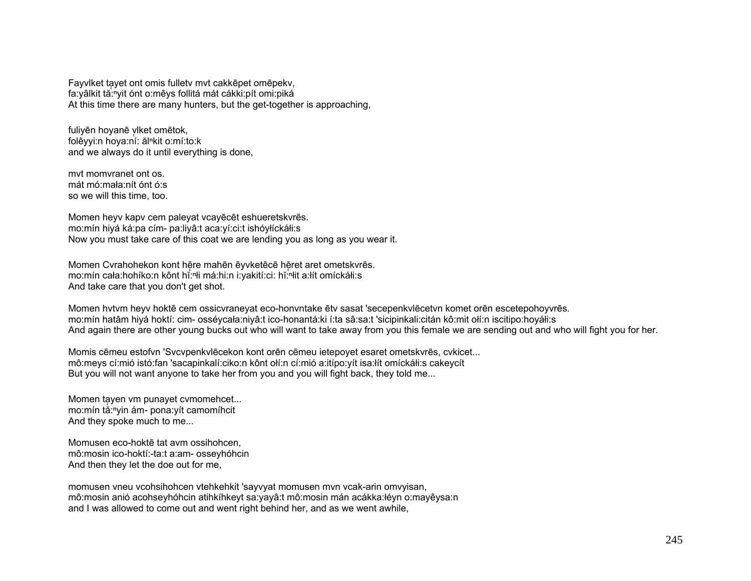Fayviket tayet ont omis fullety myt cakkepet omepeky, fa: vâlkit tă: "vit ónt o: mê vs follitá mát cákki: pít omi: piká At this time there are many hunters, but the get-together is approaching,

fuliyên hoyanê ylket omêtok, folêyyi:n hoya:ní: ălnkit o:mí:to:k and we always do it until everything is done.

myt momvranet ont os. mát mó: mała: nít ónt ó: s so we will this time, too.

Momen heyv kapv cem palevat vcavēcēt eshueretskyrēs. mo:mín hiyá ká:pa cím- pa:liyâ:t aca:yí:ci:t ishóyłíckáłi:s Now you must take care of this coat we are lending you as long as you wear it.

Momen Cyrahohekon kont hēre mahēn ēyvketēcē hēret aret ometskyrēs. mo:mín cała:hohíko:n kônt hǐ:<sup>n</sup>i má:hi:n i:yakití:ci: hǐ:nit a:lít omíckáli:s And take care that you don't get shot.

Momen hytym heyy hoktē cem ossicyraneyat eco-honyntake ēty sasat 'secepenkylēcetyn komet orēn escetepohoyyrēs. mo:mín hatâm hiyá hoktí: cim- osséycała:niyâ:t ico-honantá:ki í:ta sâ:sa:t 'sicipinkali:citán kô:mit ołí:n iscitipo:hoyáłi:s And again there are other young bucks out who will want to take away from you this female we are sending out and who will fight you for her.

Momis cēmeu estofyn 'Sycypenkylēcekon kont orēn cēmeu ietepoyet esaret ometskyrēs, cykicet... mô:meys cí:mió istó:fan 'sacapinkalí:ciko:n kônt olí:n cí:mió a:itípo:yít isa:lít omíckáli:s cakeycít But you will not want anyone to take her from you and you will fight back, they told me...

Momen tayen vm punayet cymomehcet... mo:mín tà:<sup>n</sup>yin ám- pona:yít camomíhcit And they spoke much to me...

Momusen eco-hokte tat aym ossihohcen. mô: mosin ico-hoktí:-ta:t a: am - ossey hó hcin And then they let the doe out for me,

momusen vneu vcohsihohcen vtehkehkit 'sayvyat momusen mvn vcak-arin omvyisan, mô:mosin anió acohseyhóhcin atihkíhkeyt sa:yayâ:t mô:mosin mán acákka:łéyn o:mayêysa:n and I was allowed to come out and went right behind her, and as we went awhile,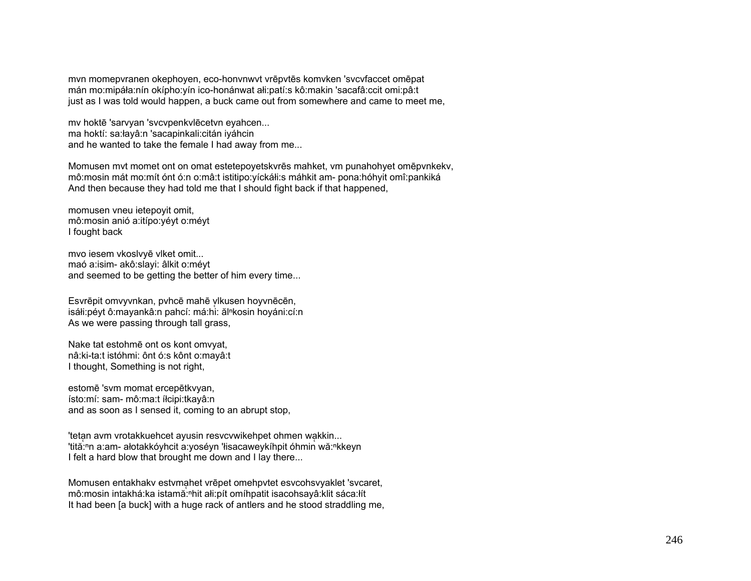mvn momepvranen okephoyen, eco-honvnwvt vr ēpvt ēs komvken 'svcvfaccet omēpat mán mo:mipáła:nín okípho:yín ico-honánwat ałi:patí:s kô:makin 'sacafâ:ccit omi:pâ:t just as I was told would happen, a buck came out from somewhere and came to meet me,

mv hokt ē 'sarvyan 'svcvpenkvl ēcetvn eyahcen... ma hoktí: sa:łayâ:n 'sacapinkali:citán iyáhcin and he wanted to take the female I had away from me...

Momusen mvt momet ont on omat estetepoyetskvr ēs mahket, vm punahohyet om ēpvnkekv, mô:mosin mát mo:mít ónt ó:n o:mâ:t istitipo:yíckáłi:s máhkit am- pona:hóhyit omî:pankiká And then because they had told me that I should fight back if that happened,

momusen vneu ietepoyit omit, mô:mosin anió a:itípo:yéyt o:méyt I fought back

mvo iesem vkoslvy ē vlket omit... maó a:isim- akô:slayi: âlkit o:méyt and seemed to be getting the better of him every time...

Esvrēpit omvyvnkan, pvhcē mahē vlkusen hoyvnēcēn, isáłi:péyt ô:mayankâ:n pahcí: má:hi: ălʰkosin hoyáni:cí:n As we were passing through tall grass,

Nake tat estohmē ont os kont omvyat, nâ:ki-ta:t istóhmi: ônt ó:s kônt o:mayâ:t I thought, Something is not right,

estomē 'svm momat ercep ētkvyan, ísto:mí: sam- mô:ma:t íłcipi:tkayâ:n and as soon as I sensed it, coming to an abrupt stop,

'tetan avm vrotakkuehcet ayusin resvcvwikehpet ohmen wa̞kkin... 'tită:ʰn a:am- ałotakkóyhcit a:yoséyn 'łisacaweykíhpit óhmin wă:ʰkkeyn I felt a hard blow that brought me down and I lay there...

Momusen entakhakv estvmahet vrēpet omehpvtet esvcohsvyaklet 'svcaret, mô:mosin intakhá:ka istamă:ʰhit ałi:pít omíhpatit isacohsayâ:klit sáca:łít It had been [a buck] with a huge rack of antlers and he stood straddling me,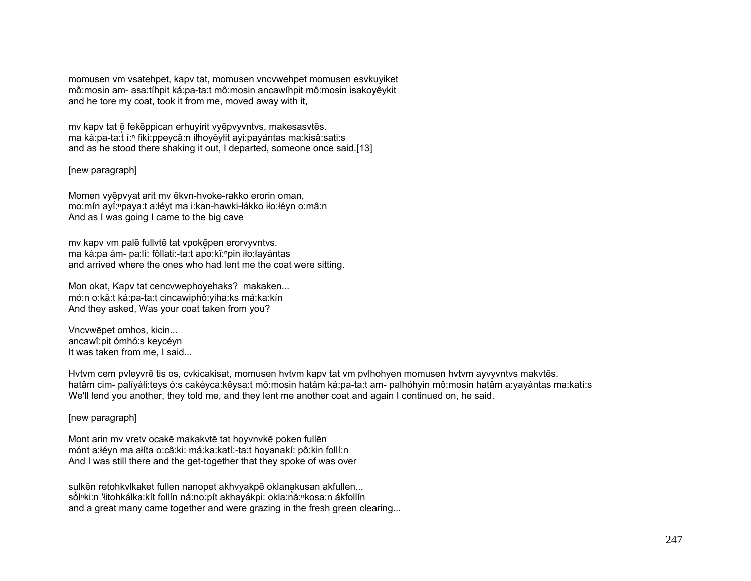momusen vm vsatehpet, kapv tat, momusen vncvwehpet momusen esvkuyiket mô:mosin am- asa:tíhpit ká:pa-ta:t mô:mosin ancawíhpit mô:mosin isakoyêykit and he tore my coat, took it from me, moved away with it,

my kapv tat ē fekēppican erhuyirit vyēpvyvntvs, makesasvtēs. ma ká:pa-ta:t í:<sup>n</sup> fikí:ppeycâ:n iłhoyêyłit ayi:payántas ma:kisâ:sati:s and as he stood there shaking it out, I departed, someone once said.[13]

## [new paragraph]

Momen vyē̜pvyat arit mv ēkvn-hvoke-rakko erorin oman, mo:mín ayĭ:<sup>ⁿ</sup>paya:t a:łéyt ma i:kan-hawki-łákko iło:łéyn o:mâ:n And as I was going I came to the big cave

my kapy vm palē fullytē tat vpokēpen eroryyvntys. ma ká:pa ám- pa:lí: fôllati:-ta:t apo:kĭ:npin iło:łayántas and arrived where the ones who had lent me the coat were sitting.

Mon okat, Kapv tat cencvwephoyehaks? makaken... mó:n o:kâ:t ká:pa-ta:t cincawiphô:yiha:ks má:ka:kín And they asked, Was your coat taken from you?

Vncvwēpet omhos, kicin... ancawî:pit ómhó:s keycéyn It was taken from me, I said...

Hvtvm cem pvleyvrē tis os, cvkicakisat, momusen hvtvm kapv tat vm pvlhohyen momusen hvtvm ayvyvntvs makvtēs. hatâm cim- palíyáłi:teys ó:s cakéyca:kêysa:t mô:mosin hatâm ká:pa-ta:t am- palhóhyin mô:mosin hatâm a:yayántas ma:katí:s We'll lend you another, they told me, and they lent me another coat and again I continued on, he said.

## [new paragraph]

Mont arin mv vretv ocakē makakvtē tat hoyvnvkē poken fullē<sup>n</sup> mónt a:łéyn ma ałíta o:câ:ki: má:ka:katí:-ta:t hoyanakí: pô:kin follí:n And I was still there and the get-together that they spoke of was over

sulkēn retohkvlkaket fullen nanopet akhvyakpē oklanakusan akfullen... solnki:n 'łitohkálka:kít follín ná:no:pít akhayákpi: okla:nă:nkosa:n ákfollín and a great many came together and were grazing in the fresh green clearing...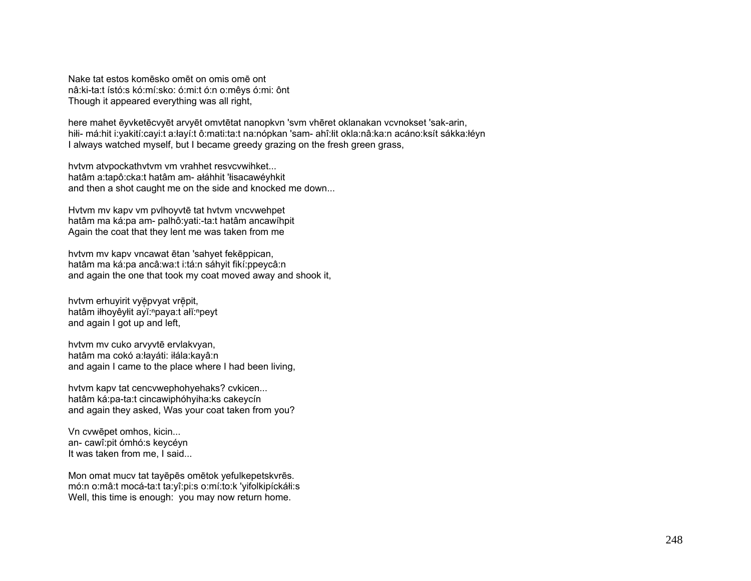Nake tat estos komēsko omēt on omis omē ont nâ:ki-ta:t ístó:s kó:mí:sko: ó:mi:t ó:n o:mêvs ó:mi: ônt Though it appeared everything was all right,

here mahet ēvvketēcvyēt arvyēt omvtētat nanopkyn 'sym vhēret oklanakan vcynokset 'sak-arin, hili- má:hit i:yakití:cayi:t a:łayí:t ô:mati:ta:t na:nópkan 'sam- ahî:łit okla:nâ:ka:n acáno:ksít sákka:łéyn I always watched myself, but I became greedy grazing on the fresh green grass,

hytym atypockathytym ym vrahhet resycywihket... hatâm a:tapô:cka:t hatâm am- ałáhhit 'łisacawéyhkit and then a shot caught me on the side and knocked me down...

Hytym my kapy ym pylhoyytē tat hytym yncywehpet hatâm ma ká:pa am- palhô:vati:-ta:t hatâm ancawíhpit Again the coat that they lent me was taken from me

hytym my kapy yncawat ētan 'sahyet fekēppican, hatâm ma ká:pa ancâ:wa:t i:tá:n sáhyit fikí:ppeycâ:n and again the one that took my coat moved away and shook it,

hytym erhuyirit vyēpvyat vrēpit, hatâm iłhoyêylit ayĭ: "paya:t ałĭ: "peyt and again I got up and left.

hvtvm mv cuko arvyvtē ervlakvyan, hatâm ma cokó a:łaváti: iłála:kavâ:n and again I came to the place where I had been living,

hytym kapy tat cencywephohyehaks? cykicen... hatâm ká:pa-ta:t cincawiphóhyiha:ks cakeycín and again they asked, Was your coat taken from you?

Vn cvwēpet omhos, kicin... an-cawî: pit ómhó: s keycéyn It was taken from me, I said...

Mon omat mucy tat tayēpēs omētok yefulkepetskyrēs. mó:n o:mâ:t mocá-ta:t ta:yî:pi:s o:mí:to:k 'yifolkipíckáłi:s Well, this time is enough: you may now return home.